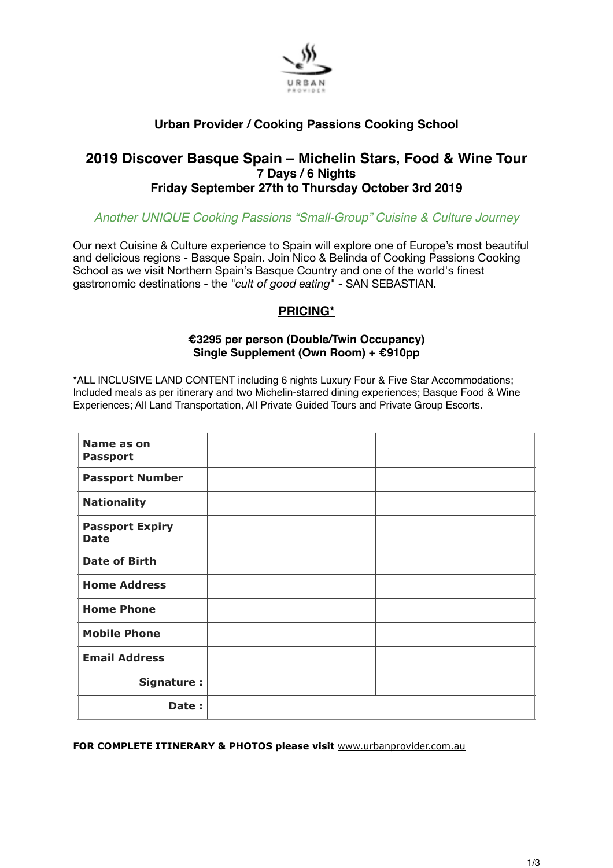

# **Urban Provider / Cooking Passions Cooking School**

# **2019 Discover Basque Spain – Michelin Stars, Food & Wine Tour 7 Days / 6 Nights Friday September 27th to Thursday October 3rd 2019**

# *Another UNIQUE Cooking Passions "Small-Group" Cuisine & Culture Journey*

Our next Cuisine & Culture experience to Spain will explore one of Europe's most beautiful and delicious regions - Basque Spain. Join Nico & Belinda of Cooking Passions Cooking School as we visit Northern Spain's Basque Country and one of the world's finest gastronomic destinations - the *"cult of good eating"* - SAN SEBASTIAN.

# **PRICING\***

## **€3295 per person (Double/Twin Occupancy) Single Supplement (Own Room) + €910pp**

\*ALL INCLUSIVE LAND CONTENT including 6 nights Luxury Four & Five Star Accommodations; Included meals as per itinerary and two Michelin-starred dining experiences; Basque Food & Wine Experiences; All Land Transportation, All Private Guided Tours and Private Group Escorts.

| Name as on<br><b>Passport</b>         |  |
|---------------------------------------|--|
| <b>Passport Number</b>                |  |
| <b>Nationality</b>                    |  |
| <b>Passport Expiry</b><br><b>Date</b> |  |
| <b>Date of Birth</b>                  |  |
| <b>Home Address</b>                   |  |
| <b>Home Phone</b>                     |  |
| <b>Mobile Phone</b>                   |  |
| <b>Email Address</b>                  |  |
| Signature:                            |  |
| Date:                                 |  |

**FOR COMPLETE ITINERARY & PHOTOS please visit** [www.urbanprovider.com.au](http://www.urbanprovider.com.au)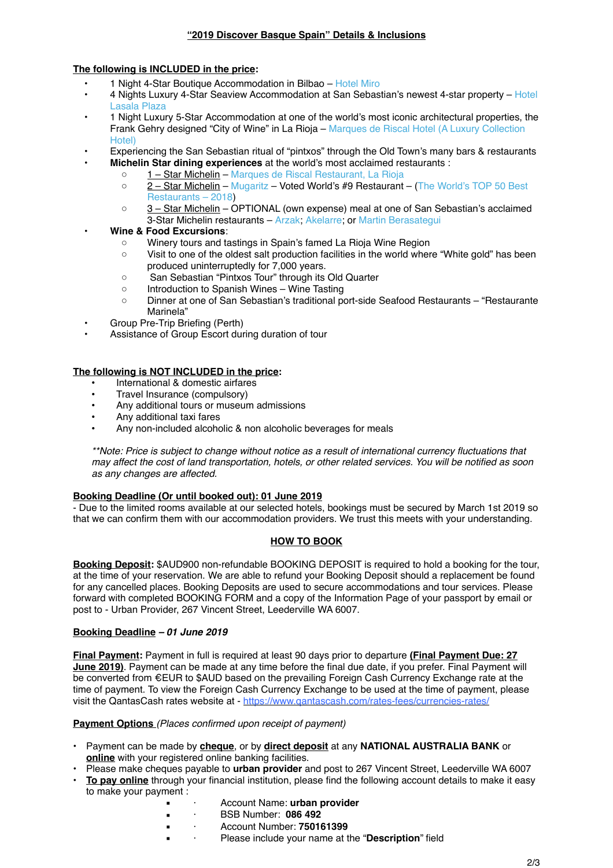### **The following is INCLUDED in the price:**

- 1 Night 4-Star Boutique Accommodation in Bilbao [Hotel Miro](https://www.mirohotelbilbao.com/en/)
- • [4 Nights Luxury 4-Star Seaview Accommodation at San Sebastian's newest 4-star property –](https://www.lasalaplazahotel.com/en/) [Hotel](https://www.lasalaplazahotel.com/en/)  Lasala Plaza
- 1 Night Luxury 5-Star Accommodation at one of the world's most iconic architectural properties, the [Frank Gehry designed "City of Wine" in La Rioja – Marques de Riscal Hotel \(A Luxury Collection](https://www.marriott.com/hotels/travel/biolc-hotel-marques-de-riscal-a-luxury-collection-hotel-elciego/)  Hotel)
- Experiencing the San Sebastian ritual of "pintxos" through the Old Town's many bars & restaurants
	- **Michelin Star dining experiences** at the world's most acclaimed restaurants :
	- 1 Star Michelin – [Marques de Riscal Restaurant, La Rioja](https://www.restaurantemarquesderiscal.com/)
		- 2 Star Michelin [Mugaritz](http://www.mugaritz.com/)  [Voted World's #9 Restaurant –](https://www.theworlds50best.com/The-List-2018/1-10/Mugaritz.html) (The World's TOP 50 Best Restaurants – 2018)
		- 3 Star Michelin OPTIONAL (own expense) meal at one of San Sebastian's acclaimed 3-Star Michelin restaurants – [Arzak](http://www.arzak.info/arz_web.php?idioma=En); [Akelarre;](http://www.akelarre.net/public_home/ctrl_home.php?lang=en) or [Martin Berasategui](http://www.martinberasategui.com/en/inicio)

### **• Wine & Food Excursions** :

- Winery tours and tastings in Spain's famed La Rioja Wine Region
- Visit to one of the oldest salt production facilities in the world where "White gold" has been produced uninterruptedly for 7,000 years.
- San Sebastian "Pintxos Tour" through its Old Quarter
- Introduction to Spanish Wines Wine Tasting
- Dinner at one of San Sebastian's traditional port-side Seafood Restaurants "Restaurante Marinela"
- Group Pre-Trip Briefing (Perth)
- Assistance of Group Escort during duration of tour

### **The following is NOT INCLUDED in the price:**

- International & domestic airfares
- Travel Insurance (compulsory)
- Any additional tours or museum admissions
- Any additional taxi fares
- Any non-included alcoholic & non alcoholic beverages for meals

*\*\*Note: Price is subject to change without notice as a result of international currency fluctuations that may affect the cost of land transportation, hotels, or other related services. You will be notified as soon as any changes are affected.*

#### **Booking Deadline (Or until booked out): 01 June 2019**

- Due to the limited rooms available at our selected hotels, bookings must be secured by March 1st 2019 so that we can confirm them with our accommodation providers. We trust this meets with your understanding.

### **HOW TO BOOK**

**Booking Deposit:** \$AUD900 non-refundable BOOKING DEPOSIT is required to hold a booking for the tour, at the time of your reservation. We are able to refund your Booking Deposit should a replacement be found for any cancelled places. Booking Deposits are used to secure accommodations and tour services. Please forward with completed BOOKING FORM and a copy of the Information Page of your passport by email or post to - Urban Provider, 267 Vincent Street, Leederville WA 6007.

#### **Booking Deadline** *– 01 June 2019*

**Final Payment:** Payment in full is required at least 90 days prior to departure **(Final Payment Due: 27 June 2019)**. Payment can be made at any time before the final due date, if you prefer. Final Payment will be converted from €EUR to \$AUD based on the prevailing Foreign Cash Currency Exchange rate at the time of payment. To view the Foreign Cash Currency Exchange to be used at the time of payment, please visit the QantasCash rates website at -<https://www.qantascash.com/rates-fees/currencies-rates/>

#### **Payment Options** *(Places confirmed upon receipt of payment)*

- Payment can be made by **cheque**, or by **direct deposit** at any **NATIONAL AUSTRALIA BANK** or **online** with your registered online banking facilities.
- Please make cheques payable to **urban provider** and post to 267 Vincent Street, Leederville WA 6007
- **• To pay online** through your financial institution, please find the following account details to make it easy to make your payment :
	- · Account Name: **urban provider**
	- · BSB Number: **086 492**
	- · Account Number: **750161399**
	- Please include your name at the "Description" field